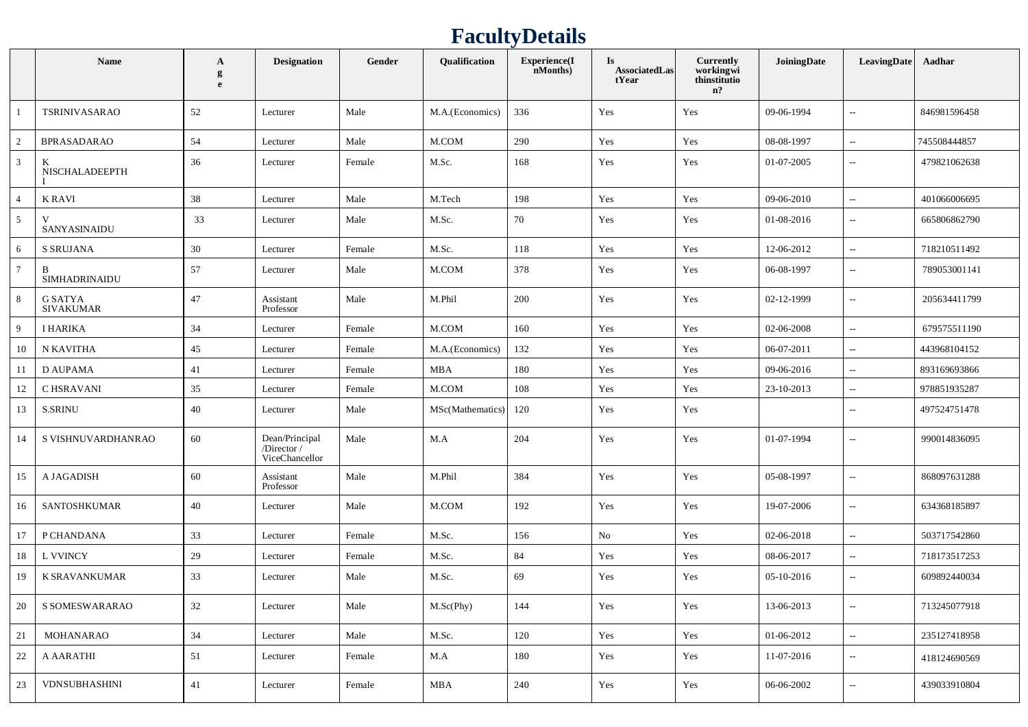## **FacultyDetails**

|                 | Name                        | $\mathbf{A}$<br>g<br>e | <b>Designation</b>                             | Gender | Qualification    | Experience(I<br>nMonths) | <b>Is</b><br><b>AssociatedLas</b><br>tYear | Currently<br>workingwi<br>thinstitutio<br>n? | JoiningDate | LeavingDate                 | Aadhar       |
|-----------------|-----------------------------|------------------------|------------------------------------------------|--------|------------------|--------------------------|--------------------------------------------|----------------------------------------------|-------------|-----------------------------|--------------|
| -1              | <b>TSRINIVASARAO</b>        | 52                     | Lecturer                                       | Male   | M.A.(Economics)  | 336                      | Yes                                        | Yes                                          | 09-06-1994  | $\sim$                      | 846981596458 |
| 2               | <b>BPRASADARAO</b>          | 54                     | Lecturer                                       | Male   | M.COM            | 290                      | Yes                                        | Yes                                          | 08-08-1997  | $\sim$                      | 745508444857 |
| $\mathfrak{Z}$  | K<br>NISCHALADEEPTH         | 36                     | Lecturer                                       | Female | M.Sc.            | 168                      | Yes                                        | Yes                                          | 01-07-2005  | $\sim$                      | 479821062638 |
| $\overline{4}$  | K RAVI                      | 38                     | Lecturer                                       | Male   | M.Tech           | 198                      | Yes                                        | Yes                                          | 09-06-2010  | $\mathcal{L}_{\mathcal{F}}$ | 401066006695 |
| $5\overline{)}$ | SANYASINAIDU                | 33                     | Lecturer                                       | Male   | M.Sc.            | 70                       | Yes                                        | Yes                                          | 01-08-2016  | $\sim$                      | 665806862790 |
| 6               | <b>S SRUJANA</b>            | 30                     | Lecturer                                       | Female | M.Sc.            | 118                      | Yes                                        | Yes                                          | 12-06-2012  | $\sim$                      | 718210511492 |
| $7\phantom{.0}$ | B<br>SIMHADRINAIDU          | 57                     | Lecturer                                       | Male   | M.COM            | 378                      | Yes                                        | Yes                                          | 06-08-1997  | $\sim$                      | 789053001141 |
| 8               | G SATYA<br><b>SIVAKUMAR</b> | 47                     | Assistant<br>Professor                         | Male   | M.Phil           | 200                      | Yes                                        | Yes                                          | 02-12-1999  | $\sim$                      | 205634411799 |
| 9               | I HARIKA                    | 34                     | Lecturer                                       | Female | M.COM            | 160                      | Yes                                        | Yes                                          | 02-06-2008  | $\sim$                      | 679575511190 |
| 10              | N KAVITHA                   | 45                     | Lecturer                                       | Female | M.A.(Economics)  | 132                      | Yes                                        | Yes                                          | 06-07-2011  | $\sim$                      | 443968104152 |
| -11             | <b>D AUPAMA</b>             | 41                     | Lecturer                                       | Female | <b>MBA</b>       | 180                      | Yes                                        | Yes                                          | 09-06-2016  | $\sim$                      | 893169693866 |
| 12              | C HSRAVANI                  | 35                     | Lecturer                                       | Female | M.COM            | 108                      | Yes                                        | Yes                                          | 23-10-2013  | $\sim$                      | 978851935287 |
| 13              | <b>S.SRINU</b>              | 40                     | Lecturer                                       | Male   | MSc(Mathematics) | 120                      | Yes                                        | Yes                                          |             | $\overline{\phantom{a}}$    | 497524751478 |
| -14             | S VISHNUVARDHANRAO          | 60                     | Dean/Principal<br>/Director/<br>ViceChancellor | Male   | M.A              | 204                      | Yes                                        | Yes                                          | 01-07-1994  | $\sim$                      | 990014836095 |
| 15              | A JAGADISH                  | 60                     | Assistant<br>Professor                         | Male   | M.Phil           | 384                      | Yes                                        | Yes                                          | 05-08-1997  | $\overline{\phantom{m}}$    | 868097631288 |
| 16              | SANTOSHKUMAR                | 40                     | Lecturer                                       | Male   | M.COM            | 192                      | Yes                                        | Yes                                          | 19-07-2006  | $\sim$                      | 634368185897 |
| 17              | P CHANDANA                  | 33                     | Lecturer                                       | Female | M.Sc.            | 156                      | $\rm No$                                   | Yes                                          | 02-06-2018  | $\mathcal{L}_{\mathcal{F}}$ | 503717542860 |
| -18             | L VVINCY                    | 29                     | Lecturer                                       | Female | M.Sc.            | 84                       | Yes                                        | Yes                                          | 08-06-2017  | $\sim$                      | 718173517253 |
| 19              | K SRAVANKUMAR               | 33                     | Lecturer                                       | Male   | M.Sc.            | 69                       | Yes                                        | Yes                                          | 05-10-2016  | $\overline{a}$              | 609892440034 |
| 20              | S SOMESWARARAO              | 32                     | Lecturer                                       | Male   | M.Sc(Phy)        | 144                      | Yes                                        | Yes                                          | 13-06-2013  | $\sim$                      | 713245077918 |
| 21              | MOHANARAO                   | $34\,$                 | Lecturer                                       | Male   | M.Sc.            | $120\,$                  | Yes                                        | Yes                                          | 01-06-2012  | $\sim$                      | 235127418958 |
| 22              | A AARATHI                   | 51                     | Lecturer                                       | Female | M.A              | 180                      | Yes                                        | Yes                                          | 11-07-2016  | $\sim$                      | 418124690569 |
| 23              | <b>VDNSUBHASHINI</b>        | 41                     | Lecturer                                       | Female | MBA              | 240                      | Yes                                        | Yes                                          | 06-06-2002  | $\sim$                      | 439033910804 |